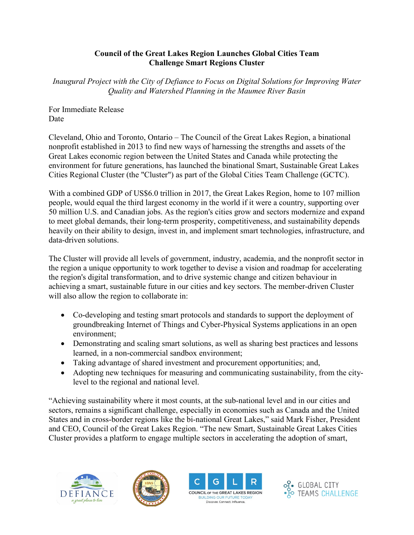#### **Council of the Great Lakes Region Launches Global Cities Team Challenge Smart Regions Cluster**

*Inaugural Project with the City of Defiance to Focus on Digital Solutions for Improving Water Quality and Watershed Planning in the Maumee River Basin* 

For Immediate Release Date

Cleveland, Ohio and Toronto, Ontario – The Council of the Great Lakes Region, a binational nonprofit established in 2013 to find new ways of harnessing the strengths and assets of the Great Lakes economic region between the United States and Canada while protecting the environment for future generations, has launched the binational Smart, Sustainable Great Lakes Cities Regional Cluster (the "Cluster") as part of the Global Cities Team Challenge (GCTC).

With a combined GDP of US\$6.0 trillion in 2017, the Great Lakes Region, home to 107 million people, would equal the third largest economy in the world if it were a country, supporting over 50 million U.S. and Canadian jobs. As the region's cities grow and sectors modernize and expand to meet global demands, their long-term prosperity, competitiveness, and sustainability depends heavily on their ability to design, invest in, and implement smart technologies, infrastructure, and data-driven solutions.

The Cluster will provide all levels of government, industry, academia, and the nonprofit sector in the region a unique opportunity to work together to devise a vision and roadmap for accelerating the region's digital transformation, and to drive systemic change and citizen behaviour in achieving a smart, sustainable future in our cities and key sectors. The member-driven Cluster will also allow the region to collaborate in:

- Co-developing and testing smart protocols and standards to support the deployment of groundbreaking Internet of Things and Cyber-Physical Systems applications in an open environment;
- Demonstrating and scaling smart solutions, as well as sharing best practices and lessons learned, in a non-commercial sandbox environment;
- Taking advantage of shared investment and procurement opportunities; and,
- Adopting new techniques for measuring and communicating sustainability, from the citylevel to the regional and national level.

"Achieving sustainability where it most counts, at the sub-national level and in our cities and sectors, remains a significant challenge, especially in economies such as Canada and the United States and in cross-border regions like the bi-national Great Lakes," said Mark Fisher, President and CEO, Council of the Great Lakes Region. "The new Smart, Sustainable Great Lakes Cities Cluster provides a platform to engage multiple sectors in accelerating the adoption of smart,







Discover. Connect. Influence

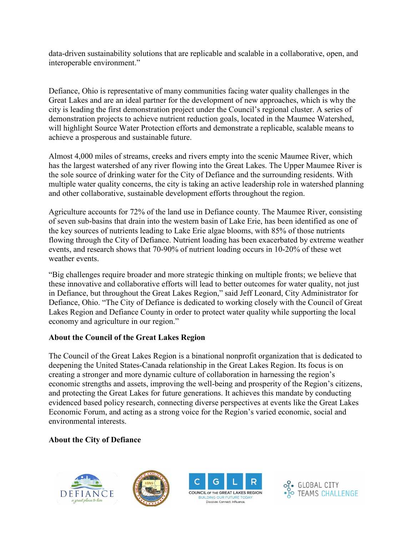data-driven sustainability solutions that are replicable and scalable in a collaborative, open, and interoperable environment."

Defiance, Ohio is representative of many communities facing water quality challenges in the Great Lakes and are an ideal partner for the development of new approaches, which is why the city is leading the first demonstration project under the Council's regional cluster. A series of demonstration projects to achieve nutrient reduction goals, located in the Maumee Watershed, will highlight Source Water Protection efforts and demonstrate a replicable, scalable means to achieve a prosperous and sustainable future.

Almost 4,000 miles of streams, creeks and rivers empty into the scenic Maumee River, which has the largest watershed of any river flowing into the Great Lakes. The Upper Maumee River is the sole source of drinking water for the City of Defiance and the surrounding residents. With multiple water quality concerns, the city is taking an active leadership role in watershed planning and other collaborative, sustainable development efforts throughout the region.

Agriculture accounts for 72% of the land use in Defiance county. The Maumee River, consisting of seven sub-basins that drain into the western basin of Lake Erie, has been identified as one of the key sources of nutrients leading to Lake Erie algae blooms, with 85% of those nutrients flowing through the City of Defiance. Nutrient loading has been exacerbated by extreme weather events, and research shows that 70-90% of nutrient loading occurs in 10-20% of these wet weather events.

"Big challenges require broader and more strategic thinking on multiple fronts; we believe that these innovative and collaborative efforts will lead to better outcomes for water quality, not just in Defiance, but throughout the Great Lakes Region," said Jeff Leonard, City Administrator for Defiance, Ohio. "The City of Defiance is dedicated to working closely with the Council of Great Lakes Region and Defiance County in order to protect water quality while supporting the local economy and agriculture in our region."

### **About the Council of the Great Lakes Region**

The Council of the Great Lakes Region is a binational nonprofit organization that is dedicated to deepening the United States-Canada relationship in the Great Lakes Region. Its focus is on creating a stronger and more dynamic culture of collaboration in harnessing the region's economic strengths and assets, improving the well-being and prosperity of the Region's citizens, and protecting the Great Lakes for future generations. It achieves this mandate by conducting evidenced based policy research, connecting diverse perspectives at events like the Great Lakes Economic Forum, and acting as a strong voice for the Region's varied economic, social and environmental interests.

### **About the City of Defiance**